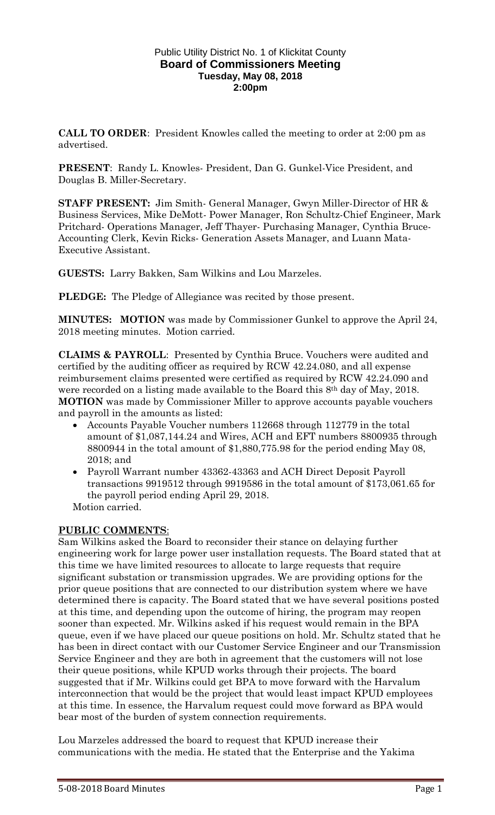### Public Utility District No. 1 of Klickitat County **Board of Commissioners Meeting Tuesday, May 08, 2018 2:00pm**

**CALL TO ORDER**: President Knowles called the meeting to order at 2:00 pm as advertised.

**PRESENT**: Randy L. Knowles- President, Dan G. Gunkel-Vice President, and Douglas B. Miller-Secretary.

**STAFF PRESENT:** Jim Smith- General Manager, Gwyn Miller-Director of HR & Business Services, Mike DeMott- Power Manager, Ron Schultz-Chief Engineer, Mark Pritchard- Operations Manager, Jeff Thayer- Purchasing Manager, Cynthia Bruce-Accounting Clerk, Kevin Ricks- Generation Assets Manager, and Luann Mata-Executive Assistant.

**GUESTS:** Larry Bakken, Sam Wilkins and Lou Marzeles.

**PLEDGE:** The Pledge of Allegiance was recited by those present.

**MINUTES: MOTION** was made by Commissioner Gunkel to approve the April 24, 2018 meeting minutes. Motion carried.

**CLAIMS & PAYROLL**: Presented by Cynthia Bruce. Vouchers were audited and certified by the auditing officer as required by RCW 42.24.080, and all expense reimbursement claims presented were certified as required by RCW 42.24.090 and were recorded on a listing made available to the Board this 8th day of May, 2018. **MOTION** was made by Commissioner Miller to approve accounts payable vouchers and payroll in the amounts as listed:

- Accounts Payable Voucher numbers 112668 through 112779 in the total amount of \$1,087,144.24 and Wires, ACH and EFT numbers 8800935 through 8800944 in the total amount of \$1,880,775.98 for the period ending May 08, 2018; and
- Payroll Warrant number 43362-43363 and ACH Direct Deposit Payroll transactions 9919512 through 9919586 in the total amount of \$173,061.65 for the payroll period ending April 29, 2018.

Motion carried.

## **PUBLIC COMMENTS**:

Sam Wilkins asked the Board to reconsider their stance on delaying further engineering work for large power user installation requests. The Board stated that at this time we have limited resources to allocate to large requests that require significant substation or transmission upgrades. We are providing options for the prior queue positions that are connected to our distribution system where we have determined there is capacity. The Board stated that we have several positions posted at this time, and depending upon the outcome of hiring, the program may reopen sooner than expected. Mr. Wilkins asked if his request would remain in the BPA queue, even if we have placed our queue positions on hold. Mr. Schultz stated that he has been in direct contact with our Customer Service Engineer and our Transmission Service Engineer and they are both in agreement that the customers will not lose their queue positions, while KPUD works through their projects. The board suggested that if Mr. Wilkins could get BPA to move forward with the Harvalum interconnection that would be the project that would least impact KPUD employees at this time. In essence, the Harvalum request could move forward as BPA would bear most of the burden of system connection requirements.

Lou Marzeles addressed the board to request that KPUD increase their communications with the media. He stated that the Enterprise and the Yakima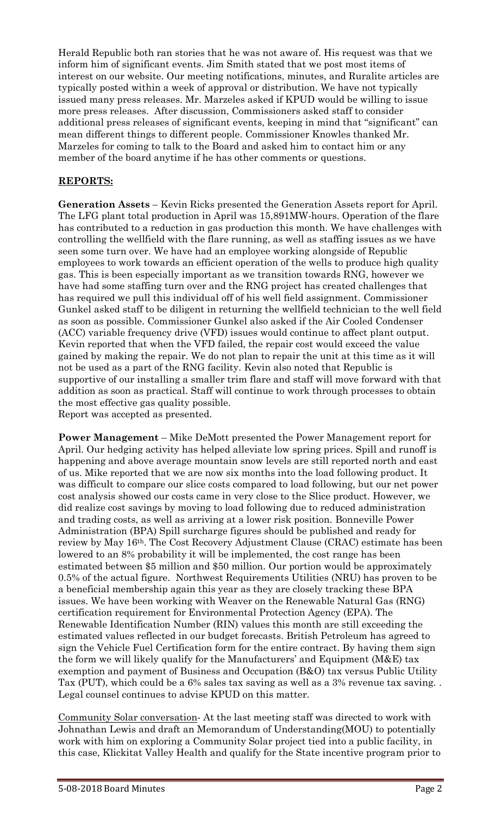Herald Republic both ran stories that he was not aware of. His request was that we inform him of significant events. Jim Smith stated that we post most items of interest on our website. Our meeting notifications, minutes, and Ruralite articles are typically posted within a week of approval or distribution. We have not typically issued many press releases. Mr. Marzeles asked if KPUD would be willing to issue more press releases. After discussion, Commissioners asked staff to consider additional press releases of significant events, keeping in mind that "significant" can mean different things to different people. Commissioner Knowles thanked Mr. Marzeles for coming to talk to the Board and asked him to contact him or any member of the board anytime if he has other comments or questions.

# **REPORTS:**

**Generation Assets** – Kevin Ricks presented the Generation Assets report for April. The LFG plant total production in April was 15,891MW-hours. Operation of the flare has contributed to a reduction in gas production this month. We have challenges with controlling the wellfield with the flare running, as well as staffing issues as we have seen some turn over. We have had an employee working alongside of Republic employees to work towards an efficient operation of the wells to produce high quality gas. This is been especially important as we transition towards RNG, however we have had some staffing turn over and the RNG project has created challenges that has required we pull this individual off of his well field assignment. Commissioner Gunkel asked staff to be diligent in returning the wellfield technician to the well field as soon as possible. Commissioner Gunkel also asked if the Air Cooled Condenser (ACC) variable frequency drive (VFD) issues would continue to affect plant output. Kevin reported that when the VFD failed, the repair cost would exceed the value gained by making the repair. We do not plan to repair the unit at this time as it will not be used as a part of the RNG facility. Kevin also noted that Republic is supportive of our installing a smaller trim flare and staff will move forward with that addition as soon as practical. Staff will continue to work through processes to obtain the most effective gas quality possible. Report was accepted as presented.

**Power Management** – Mike DeMott presented the Power Management report for April. Our hedging activity has helped alleviate low spring prices. Spill and runoff is happening and above average mountain snow levels are still reported north and east of us. Mike reported that we are now six months into the load following product. It was difficult to compare our slice costs compared to load following, but our net power cost analysis showed our costs came in very close to the Slice product. However, we did realize cost savings by moving to load following due to reduced administration and trading costs, as well as arriving at a lower risk position. Bonneville Power Administration (BPA) Spill surcharge figures should be published and ready for review by May 16th. The Cost Recovery Adjustment Clause (CRAC) estimate has been lowered to an 8% probability it will be implemented, the cost range has been estimated between \$5 million and \$50 million. Our portion would be approximately 0.5% of the actual figure. Northwest Requirements Utilities (NRU) has proven to be a beneficial membership again this year as they are closely tracking these BPA issues. We have been working with Weaver on the Renewable Natural Gas (RNG) certification requirement for Environmental Protection Agency (EPA). The Renewable Identification Number (RIN) values this month are still exceeding the estimated values reflected in our budget forecasts. British Petroleum has agreed to sign the Vehicle Fuel Certification form for the entire contract. By having them sign the form we will likely qualify for the Manufacturers' and Equipment (M&E) tax exemption and payment of Business and Occupation (B&O) tax versus Public Utility Tax (PUT), which could be a 6% sales tax saving as well as a 3% revenue tax saving. . Legal counsel continues to advise KPUD on this matter.

Community Solar conversation- At the last meeting staff was directed to work with Johnathan Lewis and draft an Memorandum of Understanding(MOU) to potentially work with him on exploring a Community Solar project tied into a public facility, in this case, Klickitat Valley Health and qualify for the State incentive program prior to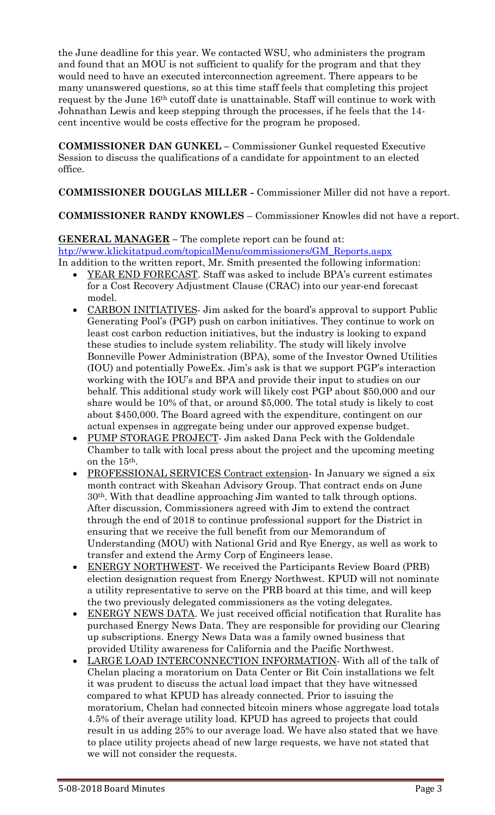the June deadline for this year. We contacted WSU, who administers the program and found that an MOU is not sufficient to qualify for the program and that they would need to have an executed interconnection agreement. There appears to be many unanswered questions, so at this time staff feels that completing this project request by the June 16th cutoff date is unattainable. Staff will continue to work with Johnathan Lewis and keep stepping through the processes, if he feels that the 14 cent incentive would be costs effective for the program he proposed.

**COMMISSIONER DAN GUNKEL –** Commissioner Gunkel requested Executive Session to discuss the qualifications of a candidate for appointment to an elected office.

**COMMISSIONER DOUGLAS MILLER -** Commissioner Miller did not have a report.

**COMMISSIONER RANDY KNOWLES** – Commissioner Knowles did not have a report.

**GENERAL MANAGER –** The complete report can be found at: [htp://www.klickitatpud.com/topicalMenu/commissioners/GM\\_Reports.aspx](http://www.klickitatpud.com/topicalMenu/commissioners/GM_Reports.aspx) In addition to the written report, Mr. Smith presented the following information:

- YEAR END FORECAST. Staff was asked to include BPA's current estimates for a Cost Recovery Adjustment Clause (CRAC) into our year-end forecast model.
- CARBON INITIATIVES Jim asked for the board's approval to support Public Generating Pool's (PGP) push on carbon initiatives. They continue to work on least cost carbon reduction initiatives, but the industry is looking to expand these studies to include system reliability. The study will likely involve Bonneville Power Administration (BPA), some of the Investor Owned Utilities (IOU) and potentially PoweEx. Jim's ask is that we support PGP's interaction working with the IOU's and BPA and provide their input to studies on our behalf. This additional study work will likely cost PGP about \$50,000 and our share would be 10% of that, or around \$5,000. The total study is likely to cost about \$450,000. The Board agreed with the expenditure, contingent on our actual expenses in aggregate being under our approved expense budget.
- PUMP STORAGE PROJECT- Jim asked Dana Peck with the Goldendale Chamber to talk with local press about the project and the upcoming meeting on the 15th.
- PROFESSIONAL SERVICES Contract extension- In January we signed a six month contract with Skeahan Advisory Group. That contract ends on June 30th. With that deadline approaching Jim wanted to talk through options. After discussion, Commissioners agreed with Jim to extend the contract through the end of 2018 to continue professional support for the District in ensuring that we receive the full benefit from our Memorandum of Understanding (MOU) with National Grid and Rye Energy, as well as work to transfer and extend the Army Corp of Engineers lease.
- ENERGY NORTHWEST- We received the Participants Review Board (PRB) election designation request from Energy Northwest. KPUD will not nominate a utility representative to serve on the PRB board at this time, and will keep the two previously delegated commissioners as the voting delegates.
- ENERGY NEWS DATA. We just received official notification that Ruralite has purchased Energy News Data. They are responsible for providing our Clearing up subscriptions. Energy News Data was a family owned business that provided Utility awareness for California and the Pacific Northwest.
- LARGE LOAD INTERCONNECTION INFORMATION- With all of the talk of Chelan placing a moratorium on Data Center or Bit Coin installations we felt it was prudent to discuss the actual load impact that they have witnessed compared to what KPUD has already connected. Prior to issuing the moratorium, Chelan had connected bitcoin miners whose aggregate load totals 4.5% of their average utility load. KPUD has agreed to projects that could result in us adding 25% to our average load. We have also stated that we have to place utility projects ahead of new large requests, we have not stated that we will not consider the requests.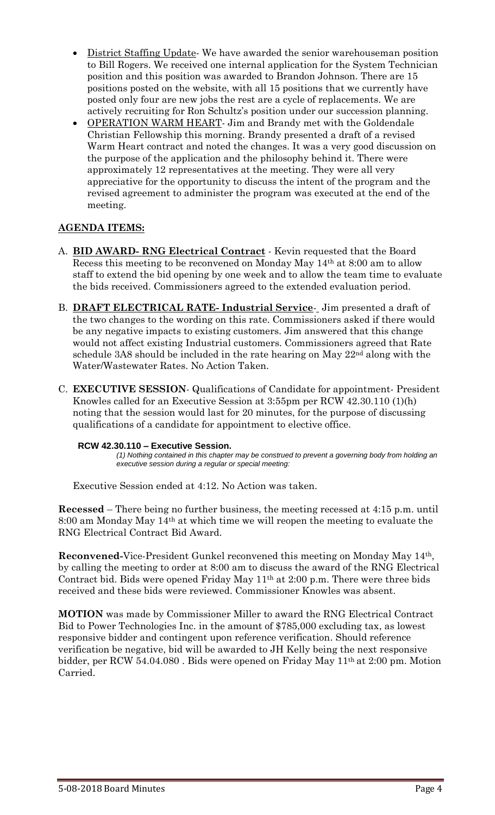- District Staffing Update- We have awarded the senior warehouseman position to Bill Rogers. We received one internal application for the System Technician position and this position was awarded to Brandon Johnson. There are 15 positions posted on the website, with all 15 positions that we currently have posted only four are new jobs the rest are a cycle of replacements. We are actively recruiting for Ron Schultz's position under our succession planning.
- OPERATION WARM HEART- Jim and Brandy met with the Goldendale Christian Fellowship this morning. Brandy presented a draft of a revised Warm Heart contract and noted the changes. It was a very good discussion on the purpose of the application and the philosophy behind it. There were approximately 12 representatives at the meeting. They were all very appreciative for the opportunity to discuss the intent of the program and the revised agreement to administer the program was executed at the end of the meeting.

# **AGENDA ITEMS:**

- A. **BID AWARD- RNG Electrical Contract** Kevin requested that the Board Recess this meeting to be reconvened on Monday May 14th at 8:00 am to allow staff to extend the bid opening by one week and to allow the team time to evaluate the bids received. Commissioners agreed to the extended evaluation period.
- B. **DRAFT ELECTRICAL RATE- Industrial Service** Jim presented a draft of the two changes to the wording on this rate. Commissioners asked if there would be any negative impacts to existing customers. Jim answered that this change would not affect existing Industrial customers. Commissioners agreed that Rate schedule 3A8 should be included in the rate hearing on May 22nd along with the Water/Wastewater Rates. No Action Taken.
- C. **EXECUTIVE SESSION** Qualifications of Candidate for appointment- President Knowles called for an Executive Session at 3:55pm per RCW 42.30.110 (1)(h) noting that the session would last for 20 minutes, for the purpose of discussing qualifications of a candidate for appointment to elective office.

## **RCW 42.30.110 – Executive Session.**

*(1) Nothing contained in this chapter may be construed to prevent a governing body from holding an executive session during a regular or special meeting:*

Executive Session ended at 4:12. No Action was taken.

**Recessed** – There being no further business, the meeting recessed at 4:15 p.m. until 8:00 am Monday May  $14<sup>th</sup>$  at which time we will reopen the meeting to evaluate the RNG Electrical Contract Bid Award.

**Reconvened-**Vice-President Gunkel reconvened this meeting on Monday May 14th, by calling the meeting to order at 8:00 am to discuss the award of the RNG Electrical Contract bid. Bids were opened Friday May 11th at 2:00 p.m. There were three bids received and these bids were reviewed. Commissioner Knowles was absent.

**MOTION** was made by Commissioner Miller to award the RNG Electrical Contract Bid to Power Technologies Inc. in the amount of \$785,000 excluding tax, as lowest responsive bidder and contingent upon reference verification. Should reference verification be negative, bid will be awarded to JH Kelly being the next responsive bidder, per RCW 54.04.080 . Bids were opened on Friday May 11th at 2:00 pm. Motion Carried.